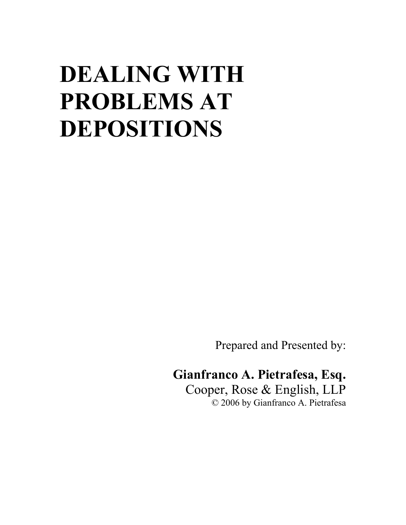# **DEALING WITH PROBLEMS AT DEPOSITIONS**

Prepared and Presented by:

# **Gianfranco A. Pietrafesa, Esq.**

Cooper, Rose & English, LLP © 2006 by Gianfranco A. Pietrafesa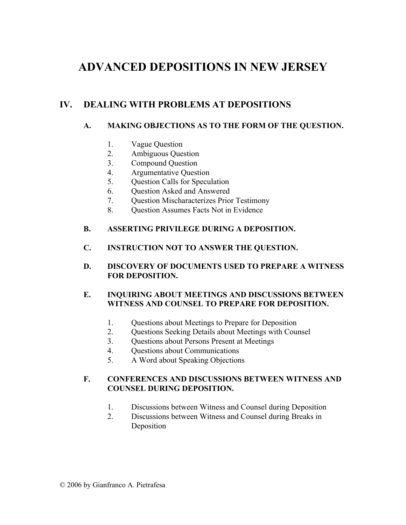# **ADVANCED DEPOSITIONS IN NEW JERSEY**

# **IV. DEALING WITH PROBLEMS AT DEPOSITIONS**

# **A. MAKING OBJECTIONS AS TO THE FORM OF THE QUESTION.**

- 1. Vague Question
- 2. Ambiguous Question
- 3. Compound Question
- 4. Argumentative Question
- 5. Question Calls for Speculation
- 6. Question Asked and Answered
- 7. Question Mischaracterizes Prior Testimony
- 8. Ouestion Assumes Facts Not in Evidence
- **B. ASSERTING PRIVILEGE DURING A DEPOSITION.**
- **C. INSTRUCTION NOT TO ANSWER THE QUESTION.**
- **D. DISCOVERY OF DOCUMENTS USED TO PREPARE A WITNESS FOR DEPOSITION.**

# **E. INQUIRING ABOUT MEETINGS AND DISCUSSIONS BETWEEN WITNESS AND COUNSEL TO PREPARE FOR DEPOSITION.**

- 1. Questions about Meetings to Prepare for Deposition
- 2. Questions Seeking Details about Meetings with Counsel
- 3. Questions about Persons Present at Meetings
- 4. Questions about Communications
- 5. A Word about Speaking Objections

# **F. CONFERENCES AND DISCUSSIONS BETWEEN WITNESS AND COUNSEL DURING DEPOSITION.**

- 1. Discussions between Witness and Counsel during Deposition
- 2. Discussions between Witness and Counsel during Breaks in Deposition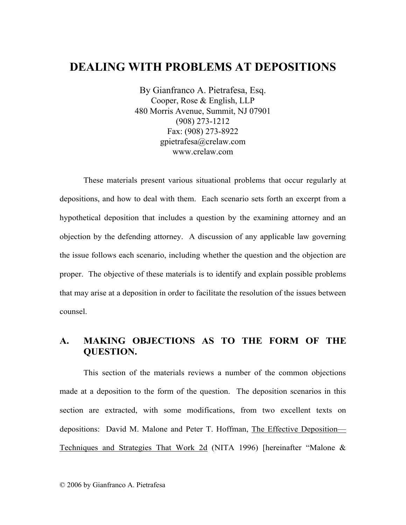# **DEALING WITH PROBLEMS AT DEPOSITIONS**

By Gianfranco A. Pietrafesa, Esq. Cooper, Rose & English, LLP 480 Morris Avenue, Summit, NJ 07901 (908) 273-1212 Fax: (908) 273-8922 gpietrafesa@crelaw.com www.crelaw.com

These materials present various situational problems that occur regularly at depositions, and how to deal with them. Each scenario sets forth an excerpt from a hypothetical deposition that includes a question by the examining attorney and an objection by the defending attorney. A discussion of any applicable law governing the issue follows each scenario, including whether the question and the objection are proper. The objective of these materials is to identify and explain possible problems that may arise at a deposition in order to facilitate the resolution of the issues between counsel.

# **A. MAKING OBJECTIONS AS TO THE FORM OF THE QUESTION.**

This section of the materials reviews a number of the common objections made at a deposition to the form of the question. The deposition scenarios in this section are extracted, with some modifications, from two excellent texts on depositions: David M. Malone and Peter T. Hoffman, The Effective Deposition— Techniques and Strategies That Work 2d (NITA 1996) [hereinafter "Malone &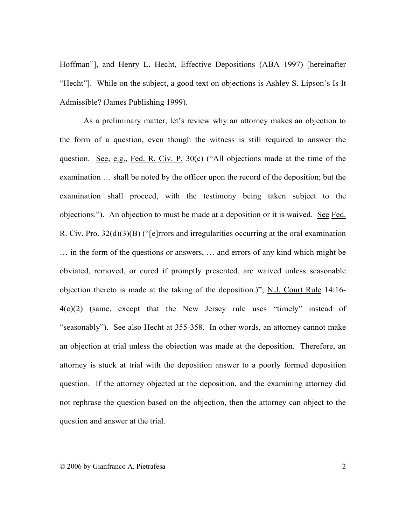Hoffman"], and Henry L. Hecht, Effective Depositions (ABA 1997) [hereinafter "Hecht"]. While on the subject, a good text on objections is Ashley S. Lipson's  $\underline{Is} It$ Admissible? (James Publishing 1999).

As a preliminary matter, let's review why an attorney makes an objection to the form of a question, even though the witness is still required to answer the question. See, e.g., Fed. R. Civ. P. 30(c) ("All objections made at the time of the examination … shall be noted by the officer upon the record of the deposition; but the examination shall proceed, with the testimony being taken subject to the objections."). An objection to must be made at a deposition or it is waived. See Fed. R. Civ. Pro. 32(d)(3)(B) ("[e]rrors and irregularities occurring at the oral examination … in the form of the questions or answers, … and errors of any kind which might be obviated, removed, or cured if promptly presented, are waived unless seasonable objection thereto is made at the taking of the deposition.)"; N.J. Court Rule 14:16- 4(c)(2) (same, except that the New Jersey rule uses "timely" instead of "seasonably"). See also Hecht at 355-358. In other words, an attorney cannot make an objection at trial unless the objection was made at the deposition. Therefore, an attorney is stuck at trial with the deposition answer to a poorly formed deposition question. If the attorney objected at the deposition, and the examining attorney did not rephrase the question based on the objection, then the attorney can object to the question and answer at the trial.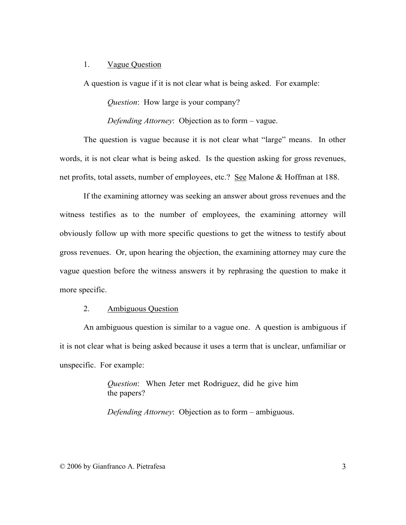#### 1. Vague Question

A question is vague if it is not clear what is being asked. For example:

*Question*: How large is your company?

*Defending Attorney*: Objection as to form – vague.

The question is vague because it is not clear what "large" means. In other words, it is not clear what is being asked. Is the question asking for gross revenues, net profits, total assets, number of employees, etc.? See Malone & Hoffman at 188.

If the examining attorney was seeking an answer about gross revenues and the witness testifies as to the number of employees, the examining attorney will obviously follow up with more specific questions to get the witness to testify about gross revenues. Or, upon hearing the objection, the examining attorney may cure the vague question before the witness answers it by rephrasing the question to make it more specific.

#### 2. Ambiguous Question

An ambiguous question is similar to a vague one. A question is ambiguous if it is not clear what is being asked because it uses a term that is unclear, unfamiliar or unspecific. For example:

> *Question*: When Jeter met Rodriguez, did he give him the papers?

*Defending Attorney*: Objection as to form – ambiguous.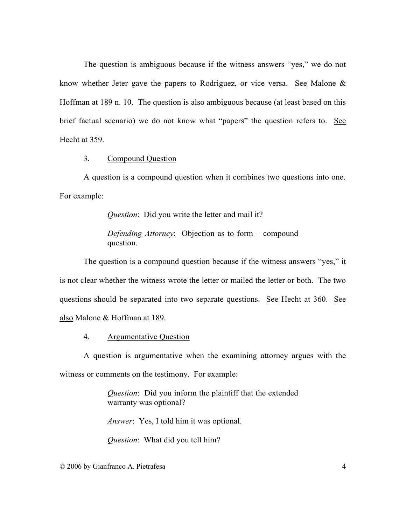The question is ambiguous because if the witness answers "yes," we do not know whether Jeter gave the papers to Rodriguez, or vice versa. See Malone  $\&$ Hoffman at 189 n. 10. The question is also ambiguous because (at least based on this brief factual scenario) we do not know what "papers" the question refers to. See Hecht at 359.

#### 3. Compound Question

A question is a compound question when it combines two questions into one. For example:

*Question*: Did you write the letter and mail it?

*Defending Attorney*: Objection as to form – compound question.

The question is a compound question because if the witness answers "yes," it is not clear whether the witness wrote the letter or mailed the letter or both. The two questions should be separated into two separate questions. See Hecht at 360. See also Malone & Hoffman at 189.

4. Argumentative Question

A question is argumentative when the examining attorney argues with the witness or comments on the testimony. For example:

> *Question*: Did you inform the plaintiff that the extended warranty was optional?

*Answer*: Yes, I told him it was optional.

*Question*: What did you tell him?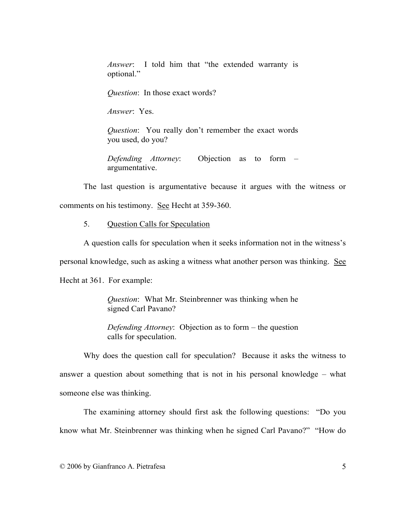*Answer*: I told him that "the extended warranty is optional."

*Question*: In those exact words?

*Answer*: Yes.

*Question*: You really don't remember the exact words you used, do you?

*Defending Attorney*: Objection as to form – argumentative.

The last question is argumentative because it argues with the witness or comments on his testimony. See Hecht at 359-360.

5. Question Calls for Speculation

A question calls for speculation when it seeks information not in the witness's personal knowledge, such as asking a witness what another person was thinking. See Hecht at 361. For example:

> *Question*: What Mr. Steinbrenner was thinking when he signed Carl Pavano?

> *Defending Attorney*: Objection as to form – the question calls for speculation.

Why does the question call for speculation? Because it asks the witness to answer a question about something that is not in his personal knowledge – what someone else was thinking.

The examining attorney should first ask the following questions: "Do you know what Mr. Steinbrenner was thinking when he signed Carl Pavano?" "How do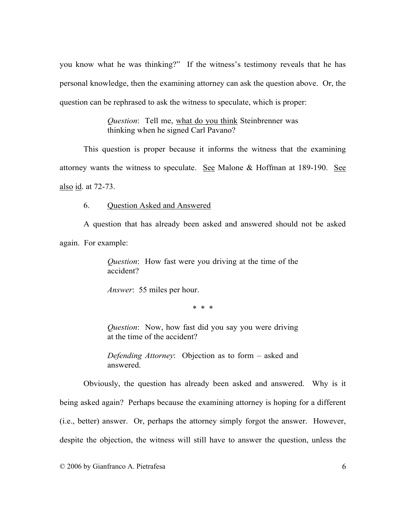you know what he was thinking?" If the witness's testimony reveals that he has personal knowledge, then the examining attorney can ask the question above. Or, the question can be rephrased to ask the witness to speculate, which is proper:

> *Question*: Tell me, what do you think Steinbrenner was thinking when he signed Carl Pavano?

This question is proper because it informs the witness that the examining attorney wants the witness to speculate. See Malone & Hoffman at 189-190. See also id. at 72-73.

6. Question Asked and Answered

A question that has already been asked and answered should not be asked again. For example:

> *Question*: How fast were you driving at the time of the accident?

*Answer*: 55 miles per hour.

\* \* \*

*Question*: Now, how fast did you say you were driving at the time of the accident?

*Defending Attorney*: Objection as to form – asked and answered.

Obviously, the question has already been asked and answered. Why is it being asked again? Perhaps because the examining attorney is hoping for a different (i.e., better) answer. Or, perhaps the attorney simply forgot the answer. However, despite the objection, the witness will still have to answer the question, unless the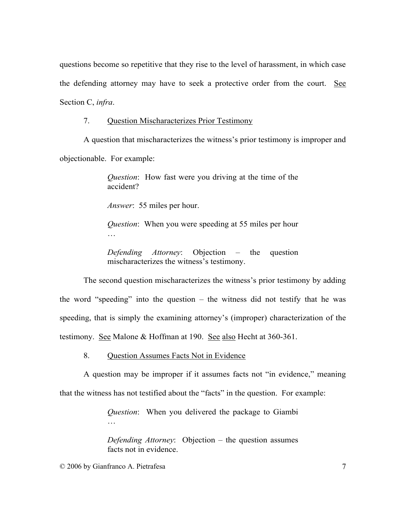questions become so repetitive that they rise to the level of harassment, in which case the defending attorney may have to seek a protective order from the court. See Section C, *infra*.

#### 7. Question Mischaracterizes Prior Testimony

A question that mischaracterizes the witness's prior testimony is improper and objectionable. For example:

> *Question*: How fast were you driving at the time of the accident?

*Answer*: 55 miles per hour.

*Question*: When you were speeding at 55 miles per hour …

*Defending Attorney*: Objection – the question mischaracterizes the witness's testimony.

The second question mischaracterizes the witness's prior testimony by adding the word "speeding" into the question – the witness did not testify that he was speeding, that is simply the examining attorney's (improper) characterization of the testimony. See Malone & Hoffman at 190. See also Hecht at 360-361.

8. Question Assumes Facts Not in Evidence

A question may be improper if it assumes facts not "in evidence," meaning that the witness has not testified about the "facts" in the question. For example:

> *Question*: When you delivered the package to Giambi …

> *Defending Attorney*: Objection – the question assumes facts not in evidence.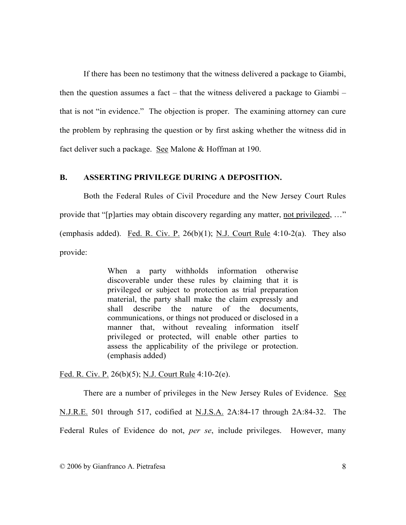If there has been no testimony that the witness delivered a package to Giambi, then the question assumes a fact  $-$  that the witness delivered a package to Giambi  $$ that is not "in evidence." The objection is proper. The examining attorney can cure the problem by rephrasing the question or by first asking whether the witness did in fact deliver such a package. See Malone & Hoffman at 190.

#### **B. ASSERTING PRIVILEGE DURING A DEPOSITION.**

Both the Federal Rules of Civil Procedure and the New Jersey Court Rules provide that "[p]arties may obtain discovery regarding any matter, not privileged, …" (emphasis added). Fed. R. Civ. P.  $26(b)(1)$ ; N.J. Court Rule 4:10-2(a). They also provide:

> When a party withholds information otherwise discoverable under these rules by claiming that it is privileged or subject to protection as trial preparation material, the party shall make the claim expressly and shall describe the nature of the documents, communications, or things not produced or disclosed in a manner that, without revealing information itself privileged or protected, will enable other parties to assess the applicability of the privilege or protection. (emphasis added)

Fed. R. Civ. P. 26(b)(5); N.J. Court Rule 4:10-2(e).

There are a number of privileges in the New Jersey Rules of Evidence. See N.J.R.E. 501 through 517, codified at N.J.S.A. 2A:84-17 through 2A:84-32. The Federal Rules of Evidence do not, *per se*, include privileges. However, many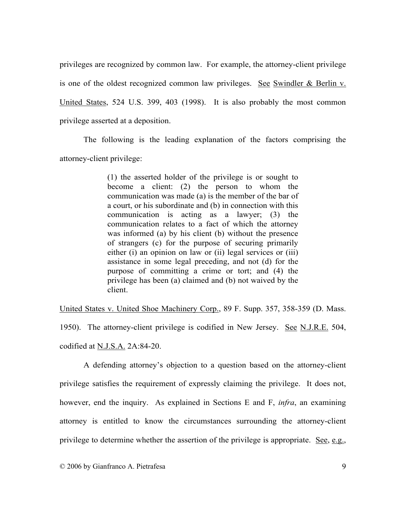privileges are recognized by common law. For example, the attorney-client privilege is one of the oldest recognized common law privileges. See Swindler & Berlin v. United States, 524 U.S. 399, 403 (1998). It is also probably the most common privilege asserted at a deposition.

The following is the leading explanation of the factors comprising the attorney-client privilege:

> (1) the asserted holder of the privilege is or sought to become a client: (2) the person to whom the communication was made (a) is the member of the bar of a court, or his subordinate and (b) in connection with this communication is acting as a lawyer; (3) the communication relates to a fact of which the attorney was informed (a) by his client (b) without the presence of strangers (c) for the purpose of securing primarily either (i) an opinion on law or (ii) legal services or (iii) assistance in some legal preceding, and not (d) for the purpose of committing a crime or tort; and (4) the privilege has been (a) claimed and (b) not waived by the client.

United States v. United Shoe Machinery Corp., 89 F. Supp. 357, 358-359 (D. Mass.

1950). The attorney-client privilege is codified in New Jersey. <u>See N.J.R.E.</u> 504, codified at N.J.S.A. 2A:84-20.

A defending attorney's objection to a question based on the attorney-client privilege satisfies the requirement of expressly claiming the privilege. It does not, however, end the inquiry. As explained in Sections E and F, *infra*, an examining attorney is entitled to know the circumstances surrounding the attorney-client privilege to determine whether the assertion of the privilege is appropriate. See, e.g.,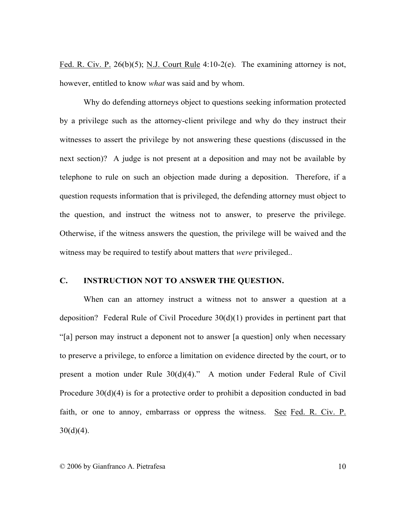Fed. R. Civ. P. 26(b)(5); N.J. Court Rule 4:10-2(e). The examining attorney is not, however, entitled to know *what* was said and by whom.

Why do defending attorneys object to questions seeking information protected by a privilege such as the attorney-client privilege and why do they instruct their witnesses to assert the privilege by not answering these questions (discussed in the next section)? A judge is not present at a deposition and may not be available by telephone to rule on such an objection made during a deposition. Therefore, if a question requests information that is privileged, the defending attorney must object to the question, and instruct the witness not to answer, to preserve the privilege. Otherwise, if the witness answers the question, the privilege will be waived and the witness may be required to testify about matters that *were* privileged..

#### **C. INSTRUCTION NOT TO ANSWER THE QUESTION.**

When can an attorney instruct a witness not to answer a question at a deposition? Federal Rule of Civil Procedure 30(d)(1) provides in pertinent part that "[a] person may instruct a deponent not to answer [a question] only when necessary to preserve a privilege, to enforce a limitation on evidence directed by the court, or to present a motion under Rule 30(d)(4)." A motion under Federal Rule of Civil Procedure 30(d)(4) is for a protective order to prohibit a deposition conducted in bad faith, or one to annoy, embarrass or oppress the witness. See Fed. R. Civ. P.  $30(d)(4)$ .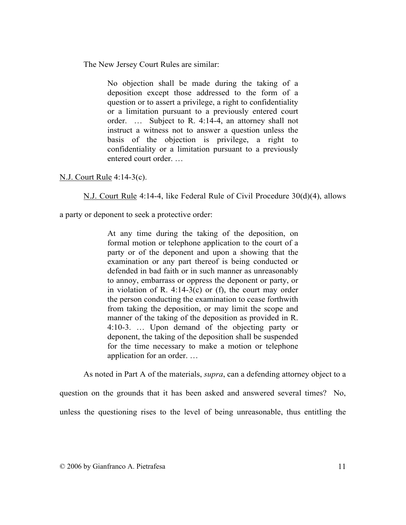The New Jersey Court Rules are similar:

No objection shall be made during the taking of a deposition except those addressed to the form of a question or to assert a privilege, a right to confidentiality or a limitation pursuant to a previously entered court order. … Subject to R. 4:14-4, an attorney shall not instruct a witness not to answer a question unless the basis of the objection is privilege, a right to confidentiality or a limitation pursuant to a previously entered court order. …

N.J. Court Rule 4:14-3(c).

N.J. Court Rule 4:14-4, like Federal Rule of Civil Procedure 30(d)(4), allows

a party or deponent to seek a protective order:

At any time during the taking of the deposition, on formal motion or telephone application to the court of a party or of the deponent and upon a showing that the examination or any part thereof is being conducted or defended in bad faith or in such manner as unreasonably to annoy, embarrass or oppress the deponent or party, or in violation of R. 4:14-3(c) or (f), the court may order the person conducting the examination to cease forthwith from taking the deposition, or may limit the scope and manner of the taking of the deposition as provided in R. 4:10-3. … Upon demand of the objecting party or deponent, the taking of the deposition shall be suspended for the time necessary to make a motion or telephone application for an order. …

As noted in Part A of the materials, *supra*, can a defending attorney object to a

question on the grounds that it has been asked and answered several times? No, unless the questioning rises to the level of being unreasonable, thus entitling the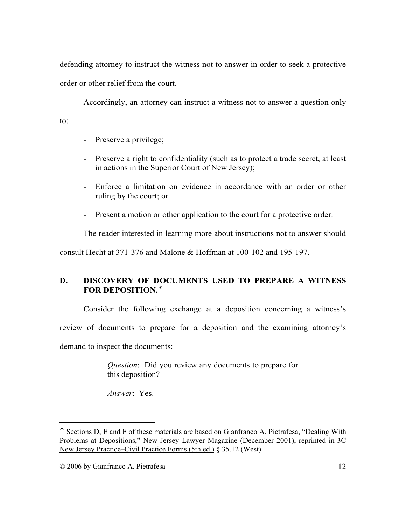defending attorney to instruct the witness not to answer in order to seek a protective order or other relief from the court.

Accordingly, an attorney can instruct a witness not to answer a question only to:

- Preserve a privilege;
- Preserve a right to confidentiality (such as to protect a trade secret, at least in actions in the Superior Court of New Jersey);
- Enforce a limitation on evidence in accordance with an order or other ruling by the court; or
- Present a motion or other application to the court for a protective order.

The reader interested in learning more about instructions not to answer should

consult Hecht at 371-376 and Malone & Hoffman at 100-102 and 195-197.

# **D. DISCOVERY OF DOCUMENTS USED TO PREPARE A WITNESS FOR DEPOSITION.**<sup>∗</sup>

Consider the following exchange at a deposition concerning a witness's review of documents to prepare for a deposition and the examining attorney's demand to inspect the documents:

> *Question*: Did you review any documents to prepare for this deposition?

*Answer*: Yes.

 $\overline{a}$ 

<sup>∗</sup> Sections D, E and F of these materials are based on Gianfranco A. Pietrafesa, "Dealing With Problems at Depositions," New Jersey Lawyer Magazine (December 2001), reprinted in 3C New Jersey Practice–Civil Practice Forms (5th ed.) § 35.12 (West).

<sup>© 2006</sup> by Gianfranco A. Pietrafesa 12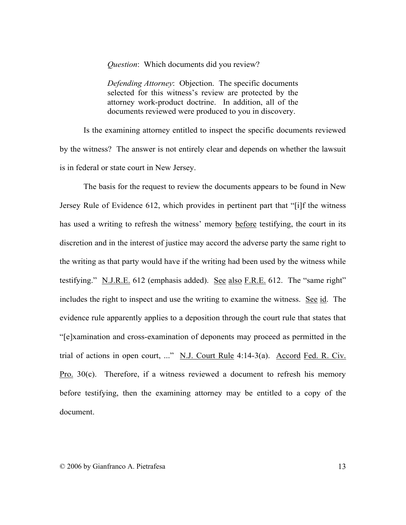*Question*: Which documents did you review?

*Defending Attorney*: Objection. The specific documents selected for this witness's review are protected by the attorney work-product doctrine. In addition, all of the documents reviewed were produced to you in discovery.

Is the examining attorney entitled to inspect the specific documents reviewed by the witness? The answer is not entirely clear and depends on whether the lawsuit is in federal or state court in New Jersey.

The basis for the request to review the documents appears to be found in New Jersey Rule of Evidence 612, which provides in pertinent part that "[i]f the witness has used a writing to refresh the witness' memory before testifying, the court in its discretion and in the interest of justice may accord the adverse party the same right to the writing as that party would have if the writing had been used by the witness while testifying." N.J.R.E. 612 (emphasis added). See also  $F.R.E.$  612. The "same right" includes the right to inspect and use the writing to examine the witness. See id. The evidence rule apparently applies to a deposition through the court rule that states that "[e]xamination and cross-examination of deponents may proceed as permitted in the trial of actions in open court, ..." N.J. Court Rule 4:14-3(a). Accord Fed. R. Civ. <u>Pro.</u> 30(c). Therefore, if a witness reviewed a document to refresh his memory before testifying, then the examining attorney may be entitled to a copy of the document.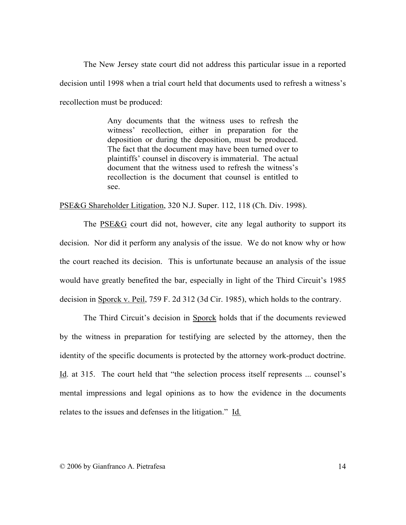The New Jersey state court did not address this particular issue in a reported decision until 1998 when a trial court held that documents used to refresh a witness's recollection must be produced:

> Any documents that the witness uses to refresh the witness' recollection, either in preparation for the deposition or during the deposition, must be produced. The fact that the document may have been turned over to plaintiffs' counsel in discovery is immaterial. The actual document that the witness used to refresh the witness's recollection is the document that counsel is entitled to see.

PSE&G Shareholder Litigation, 320 N.J. Super. 112, 118 (Ch. Div. 1998).

The  $PSE&G$  court did not, however, cite any legal authority to support its decision. Nor did it perform any analysis of the issue. We do not know why or how the court reached its decision. This is unfortunate because an analysis of the issue would have greatly benefited the bar, especially in light of the Third Circuit's 1985 decision in Sporck v. Peil, 759 F. 2d 312 (3d Cir. 1985), which holds to the contrary.

The Third Circuit's decision in Sporck holds that if the documents reviewed by the witness in preparation for testifying are selected by the attorney, then the identity of the specific documents is protected by the attorney work-product doctrine. Id. at 315. The court held that "the selection process itself represents ... counsel's mental impressions and legal opinions as to how the evidence in the documents relates to the issues and defenses in the litigation." Id*.*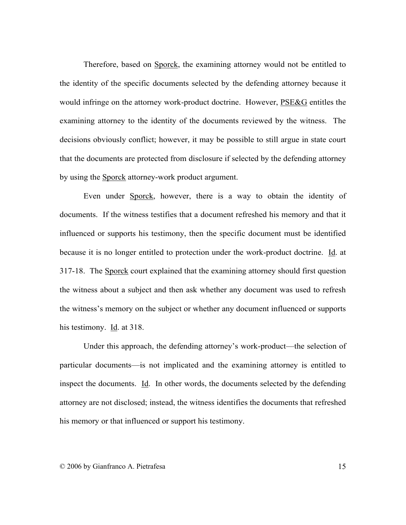Therefore, based on Sporck, the examining attorney would not be entitled to the identity of the specific documents selected by the defending attorney because it would infringe on the attorney work-product doctrine. However, PSE&G entitles the examining attorney to the identity of the documents reviewed by the witness. The decisions obviously conflict; however, it may be possible to still argue in state court that the documents are protected from disclosure if selected by the defending attorney by using the Sporck attorney-work product argument.

Even under Sporck, however, there is a way to obtain the identity of documents. If the witness testifies that a document refreshed his memory and that it influenced or supports his testimony, then the specific document must be identified because it is no longer entitled to protection under the work-product doctrine. Id. at 317-18. The Sporck court explained that the examining attorney should first question the witness about a subject and then ask whether any document was used to refresh the witness's memory on the subject or whether any document influenced or supports his testimony. Id. at 318.

Under this approach, the defending attorney's work-product—the selection of particular documents—is not implicated and the examining attorney is entitled to inspect the documents. Id. In other words, the documents selected by the defending attorney are not disclosed; instead, the witness identifies the documents that refreshed his memory or that influenced or support his testimony.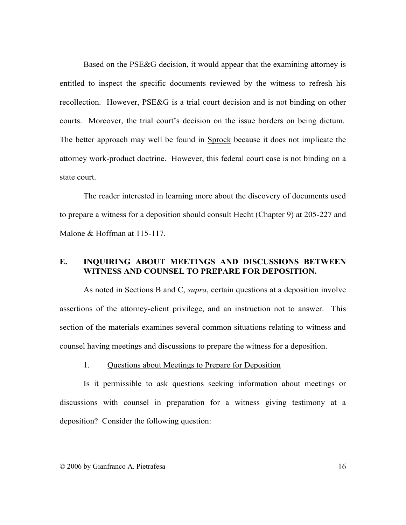Based on the **PSE&G** decision, it would appear that the examining attorney is entitled to inspect the specific documents reviewed by the witness to refresh his recollection. However, PSE&G is a trial court decision and is not binding on other courts. Moreover, the trial court's decision on the issue borders on being dictum. The better approach may well be found in Sprock because it does not implicate the attorney work-product doctrine. However, this federal court case is not binding on a state court.

The reader interested in learning more about the discovery of documents used to prepare a witness for a deposition should consult Hecht (Chapter 9) at 205-227 and Malone & Hoffman at 115-117.

#### **E. INQUIRING ABOUT MEETINGS AND DISCUSSIONS BETWEEN WITNESS AND COUNSEL TO PREPARE FOR DEPOSITION.**

As noted in Sections B and C, *supra*, certain questions at a deposition involve assertions of the attorney-client privilege, and an instruction not to answer. This section of the materials examines several common situations relating to witness and counsel having meetings and discussions to prepare the witness for a deposition.

1. Questions about Meetings to Prepare for Deposition

Is it permissible to ask questions seeking information about meetings or discussions with counsel in preparation for a witness giving testimony at a deposition? Consider the following question: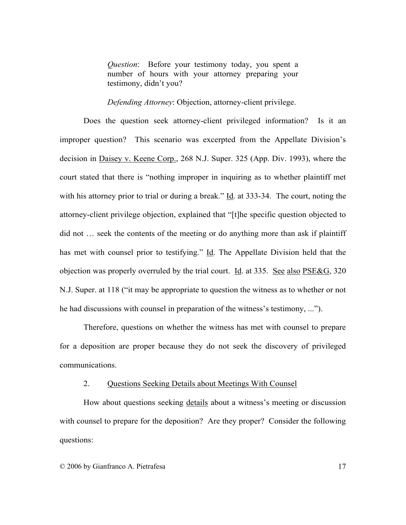*Question*: Before your testimony today, you spent a number of hours with your attorney preparing your testimony, didn't you?

*Defending Attorney*: Objection, attorney-client privilege.

Does the question seek attorney-client privileged information? Is it an improper question? This scenario was excerpted from the Appellate Division's decision in Daisey v. Keene Corp., 268 N.J. Super. 325 (App. Div. 1993), where the court stated that there is "nothing improper in inquiring as to whether plaintiff met with his attorney prior to trial or during a break."  $\underline{Id}$ . at 333-34. The court, noting the attorney-client privilege objection, explained that "[t]he specific question objected to did not … seek the contents of the meeting or do anything more than ask if plaintiff has met with counsel prior to testifying." Id. The Appellate Division held that the objection was properly overruled by the trial court. Id. at 335. See also PSE&G, 320 N.J. Super. at 118 ("it may be appropriate to question the witness as to whether or not he had discussions with counsel in preparation of the witness's testimony, ...").

Therefore, questions on whether the witness has met with counsel to prepare for a deposition are proper because they do not seek the discovery of privileged communications.

#### 2. Questions Seeking Details about Meetings With Counsel

How about questions seeking details about a witness's meeting or discussion with counsel to prepare for the deposition? Are they proper? Consider the following questions: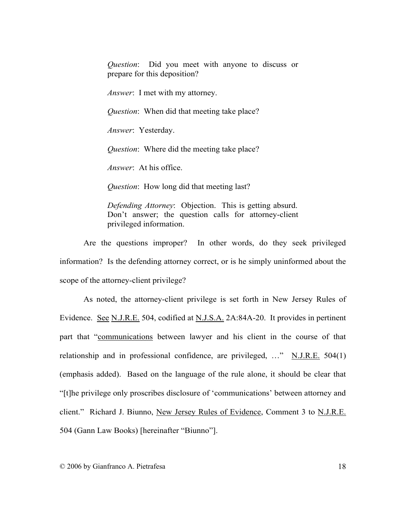*Question*: Did you meet with anyone to discuss or prepare for this deposition?

*Answer*: I met with my attorney.

*Question*: When did that meeting take place?

*Answer*: Yesterday.

*Question*: Where did the meeting take place?

*Answer*: At his office.

*Question:* How long did that meeting last?

*Defending Attorney*: Objection. This is getting absurd. Don't answer; the question calls for attorney-client privileged information.

Are the questions improper? In other words, do they seek privileged information? Is the defending attorney correct, or is he simply uninformed about the scope of the attorney-client privilege?

As noted, the attorney-client privilege is set forth in New Jersey Rules of Evidence. See N.J.R.E. 504, codified at N.J.S.A. 2A:84A-20. It provides in pertinent part that "communications between lawyer and his client in the course of that relationship and in professional confidence, are privileged, …" N.J.R.E. 504(1) (emphasis added). Based on the language of the rule alone, it should be clear that "[t]he privilege only proscribes disclosure of 'communications' between attorney and client." Richard J. Biunno, New Jersey Rules of Evidence, Comment 3 to N.J.R.E. 504 (Gann Law Books) [hereinafter "Biunno"].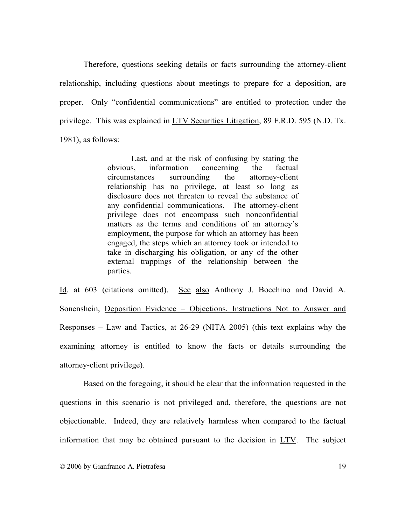Therefore, questions seeking details or facts surrounding the attorney-client relationship, including questions about meetings to prepare for a deposition, are proper. Only "confidential communications" are entitled to protection under the privilege. This was explained in LTV Securities Litigation, 89 F.R.D. 595 (N.D. Tx. 1981), as follows:

> Last, and at the risk of confusing by stating the obvious, information concerning the factual circumstances surrounding the attorney-client relationship has no privilege, at least so long as disclosure does not threaten to reveal the substance of any confidential communications. The attorney-client privilege does not encompass such nonconfidential matters as the terms and conditions of an attorney's employment, the purpose for which an attorney has been engaged, the steps which an attorney took or intended to take in discharging his obligation, or any of the other external trappings of the relationship between the parties.

Id. at 603 (citations omitted). See also Anthony J. Bocchino and David A. Sonenshein, Deposition Evidence – Objections, Instructions Not to Answer and Responses – Law and Tactics, at 26-29 (NITA 2005) (this text explains why the examining attorney is entitled to know the facts or details surrounding the attorney-client privilege).

Based on the foregoing, it should be clear that the information requested in the questions in this scenario is not privileged and, therefore, the questions are not objectionable. Indeed, they are relatively harmless when compared to the factual information that may be obtained pursuant to the decision in LTV. The subject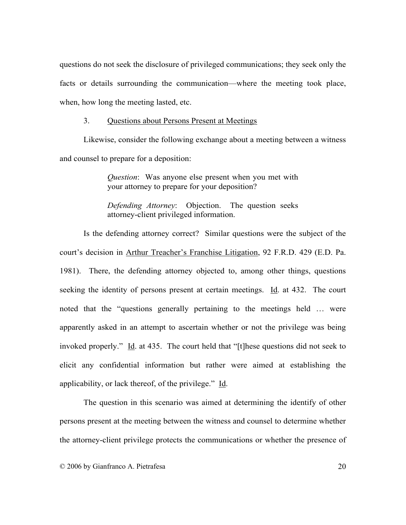questions do not seek the disclosure of privileged communications; they seek only the facts or details surrounding the communication—where the meeting took place, when, how long the meeting lasted, etc.

#### 3. Questions about Persons Present at Meetings

Likewise, consider the following exchange about a meeting between a witness and counsel to prepare for a deposition:

> *Question*: Was anyone else present when you met with your attorney to prepare for your deposition?

> *Defending Attorney*: Objection. The question seeks attorney-client privileged information.

Is the defending attorney correct? Similar questions were the subject of the court's decision in Arthur Treacher's Franchise Litigation, 92 F.R.D. 429 (E.D. Pa. 1981). There, the defending attorney objected to, among other things, questions seeking the identity of persons present at certain meetings. Id. at 432. The court noted that the "questions generally pertaining to the meetings held … were apparently asked in an attempt to ascertain whether or not the privilege was being invoked properly." Id. at 435. The court held that "[t]hese questions did not seek to elicit any confidential information but rather were aimed at establishing the applicability, or lack thereof, of the privilege." Id.

The question in this scenario was aimed at determining the identify of other persons present at the meeting between the witness and counsel to determine whether the attorney-client privilege protects the communications or whether the presence of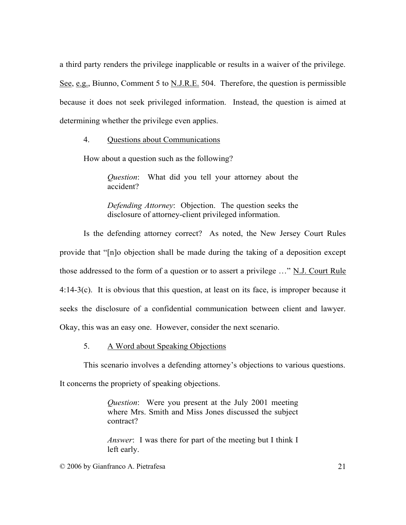a third party renders the privilege inapplicable or results in a waiver of the privilege. See, e.g., Biunno, Comment 5 to <u>N.J.R.E.</u> 504. Therefore, the question is permissible because it does not seek privileged information. Instead, the question is aimed at determining whether the privilege even applies.

#### 4. Questions about Communications

How about a question such as the following?

*Question*: What did you tell your attorney about the accident?

*Defending Attorney*: Objection. The question seeks the disclosure of attorney-client privileged information.

Is the defending attorney correct? As noted, the New Jersey Court Rules provide that "[n]o objection shall be made during the taking of a deposition except those addressed to the form of a question or to assert a privilege …" N.J. Court Rule 4:14-3(c). It is obvious that this question, at least on its face, is improper because it seeks the disclosure of a confidential communication between client and lawyer. Okay, this was an easy one. However, consider the next scenario.

5. A Word about Speaking Objections

This scenario involves a defending attorney's objections to various questions.

It concerns the propriety of speaking objections.

*Question*: Were you present at the July 2001 meeting where Mrs. Smith and Miss Jones discussed the subject contract?

*Answer*: I was there for part of the meeting but I think I left early.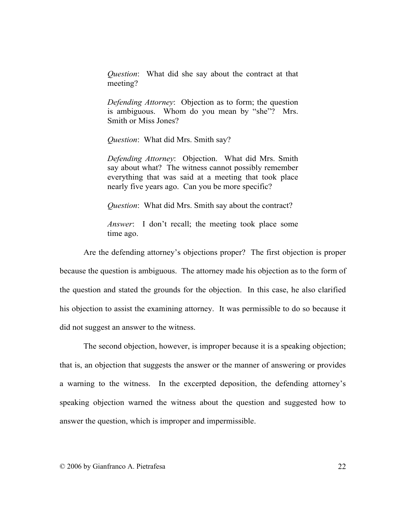*Question*: What did she say about the contract at that meeting?

*Defending Attorney*: Objection as to form; the question is ambiguous. Whom do you mean by "she"? Mrs. Smith or Miss Jones?

*Question*: What did Mrs. Smith say?

*Defending Attorney*: Objection. What did Mrs. Smith say about what? The witness cannot possibly remember everything that was said at a meeting that took place nearly five years ago. Can you be more specific?

*Question*: What did Mrs. Smith say about the contract?

*Answer*: I don't recall; the meeting took place some time ago.

Are the defending attorney's objections proper? The first objection is proper because the question is ambiguous. The attorney made his objection as to the form of the question and stated the grounds for the objection. In this case, he also clarified his objection to assist the examining attorney. It was permissible to do so because it did not suggest an answer to the witness.

The second objection, however, is improper because it is a speaking objection; that is, an objection that suggests the answer or the manner of answering or provides a warning to the witness. In the excerpted deposition, the defending attorney's speaking objection warned the witness about the question and suggested how to answer the question, which is improper and impermissible.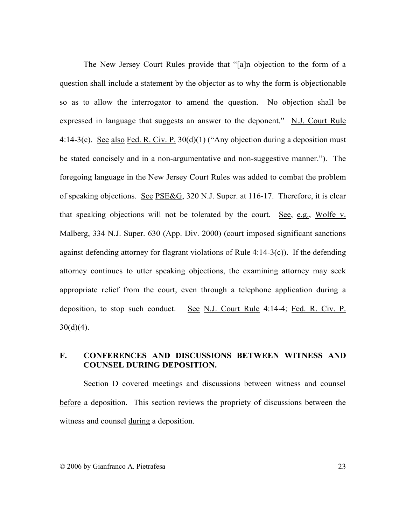The New Jersey Court Rules provide that "[a]n objection to the form of a question shall include a statement by the objector as to why the form is objectionable so as to allow the interrogator to amend the question. No objection shall be expressed in language that suggests an answer to the deponent." N.J. Court Rule 4:14-3(c). See also Fed. R. Civ. P. 30(d)(1) ("Any objection during a deposition must be stated concisely and in a non-argumentative and non-suggestive manner."). The foregoing language in the New Jersey Court Rules was added to combat the problem of speaking objections. See PSE&G, 320 N.J. Super. at 116-17. Therefore, it is clear that speaking objections will not be tolerated by the court. See, e.g., Wolfe v. Malberg, 334 N.J. Super. 630 (App. Div. 2000) (court imposed significant sanctions against defending attorney for flagrant violations of Rule  $4:14-3(c)$ ). If the defending attorney continues to utter speaking objections, the examining attorney may seek appropriate relief from the court, even through a telephone application during a deposition, to stop such conduct. See N.J. Court Rule 4:14-4; Fed. R. Civ. P.  $30(d)(4)$ .

#### **F. CONFERENCES AND DISCUSSIONS BETWEEN WITNESS AND COUNSEL DURING DEPOSITION.**

Section D covered meetings and discussions between witness and counsel before a deposition. This section reviews the propriety of discussions between the witness and counsel during a deposition.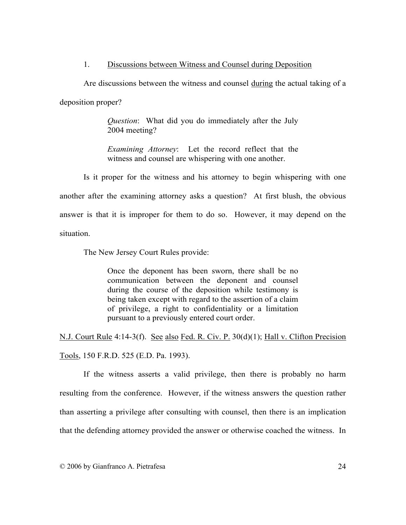#### 1. Discussions between Witness and Counsel during Deposition

Are discussions between the witness and counsel during the actual taking of a deposition proper?

> *Question*: What did you do immediately after the July 2004 meeting?

> *Examining Attorney*: Let the record reflect that the witness and counsel are whispering with one another.

Is it proper for the witness and his attorney to begin whispering with one another after the examining attorney asks a question? At first blush, the obvious answer is that it is improper for them to do so. However, it may depend on the situation.

The New Jersey Court Rules provide:

Once the deponent has been sworn, there shall be no communication between the deponent and counsel during the course of the deposition while testimony is being taken except with regard to the assertion of a claim of privilege, a right to confidentiality or a limitation pursuant to a previously entered court order.

N.J. Court Rule 4:14-3(f). See also Fed. R. Civ. P. 30(d)(1); Hall v. Clifton Precision Tools, 150 F.R.D. 525 (E.D. Pa. 1993).

If the witness asserts a valid privilege, then there is probably no harm resulting from the conference. However, if the witness answers the question rather than asserting a privilege after consulting with counsel, then there is an implication that the defending attorney provided the answer or otherwise coached the witness. In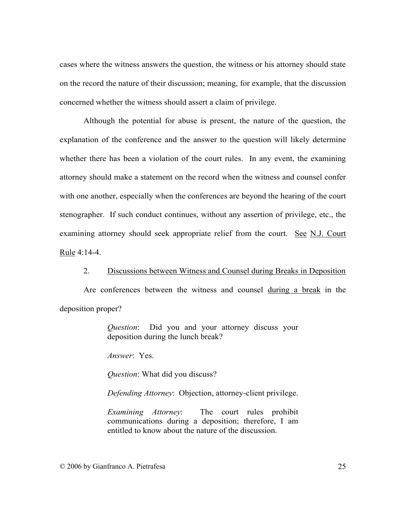cases where the witness answers the question, the witness or his attorney should state on the record the nature of their discussion; meaning, for example, that the discussion concerned whether the witness should assert a claim of privilege.

Although the potential for abuse is present, the nature of the question, the explanation of the conference and the answer to the question will likely determine whether there has been a violation of the court rules. In any event, the examining attorney should make a statement on the record when the witness and counsel confer with one another, especially when the conferences are beyond the hearing of the court stenographer. If such conduct continues, without any assertion of privilege, etc., the examining attorney should seek appropriate relief from the court. See N.J. Court Rule 4:14-4.

#### 2. Discussions between Witness and Counsel during Breaks in Deposition

Are conferences between the witness and counsel during a break in the deposition proper?

> *Question*: Did you and your attorney discuss your deposition during the lunch break?

*Answer*: Yes.

*Question*: What did you discuss?

*Defending Attorney*: Objection, attorney-client privilege.

*Examining Attorney*: The court rules prohibit communications during a deposition; therefore, I am entitled to know about the nature of the discussion.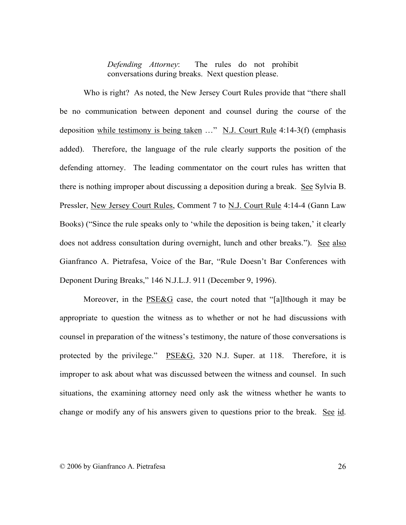*Defending Attorney*: The rules do not prohibit conversations during breaks. Next question please.

Who is right? As noted, the New Jersey Court Rules provide that "there shall be no communication between deponent and counsel during the course of the deposition while testimony is being taken …" N.J. Court Rule 4:14-3(f) (emphasis added). Therefore, the language of the rule clearly supports the position of the defending attorney. The leading commentator on the court rules has written that there is nothing improper about discussing a deposition during a break. See Sylvia B. Pressler, New Jersey Court Rules, Comment 7 to N.J. Court Rule 4:14-4 (Gann Law Books) ("Since the rule speaks only to 'while the deposition is being taken,' it clearly does not address consultation during overnight, lunch and other breaks."). See also Gianfranco A. Pietrafesa, Voice of the Bar, "Rule Doesn't Bar Conferences with Deponent During Breaks," 146 N.J.L.J. 911 (December 9, 1996).

Moreover, in the PSE&G case, the court noted that "[a]lthough it may be appropriate to question the witness as to whether or not he had discussions with counsel in preparation of the witness's testimony, the nature of those conversations is protected by the privilege." PSE&G, 320 N.J. Super. at 118. Therefore, it is improper to ask about what was discussed between the witness and counsel. In such situations, the examining attorney need only ask the witness whether he wants to change or modify any of his answers given to questions prior to the break. See id.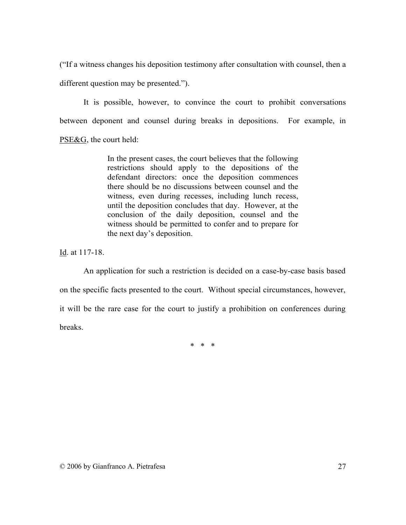("If a witness changes his deposition testimony after consultation with counsel, then a different question may be presented.").

It is possible, however, to convince the court to prohibit conversations between deponent and counsel during breaks in depositions. For example, in PSE&G, the court held:

> In the present cases, the court believes that the following restrictions should apply to the depositions of the defendant directors: once the deposition commences there should be no discussions between counsel and the witness, even during recesses, including lunch recess, until the deposition concludes that day. However, at the conclusion of the daily deposition, counsel and the witness should be permitted to confer and to prepare for the next day's deposition.

Id. at 117-18.

An application for such a restriction is decided on a case-by-case basis based on the specific facts presented to the court. Without special circumstances, however, it will be the rare case for the court to justify a prohibition on conferences during breaks.

\* \* \*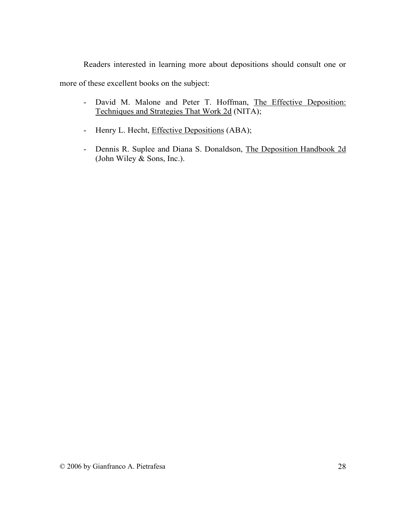Readers interested in learning more about depositions should consult one or

more of these excellent books on the subject:

- David M. Malone and Peter T. Hoffman, The Effective Deposition: Techniques and Strategies That Work 2d (NITA);
- Henry L. Hecht, **Effective Depositions** (ABA);
- Dennis R. Suplee and Diana S. Donaldson, The Deposition Handbook 2d (John Wiley & Sons, Inc.).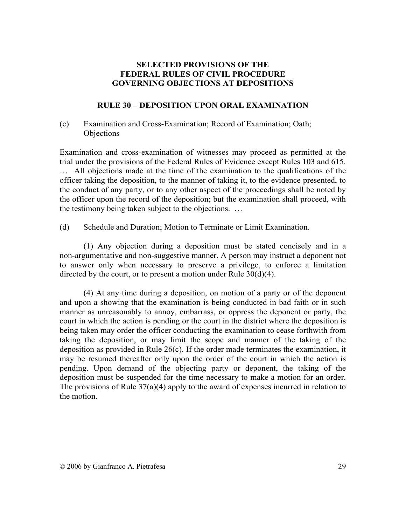### **SELECTED PROVISIONS OF THE FEDERAL RULES OF CIVIL PROCEDURE GOVERNING OBJECTIONS AT DEPOSITIONS**

#### **RULE 30 – DEPOSITION UPON ORAL EXAMINATION**

#### (c) Examination and Cross-Examination; Record of Examination; Oath; Objections

Examination and cross-examination of witnesses may proceed as permitted at the trial under the provisions of the Federal Rules of Evidence except Rules 103 and 615. … All objections made at the time of the examination to the qualifications of the officer taking the deposition, to the manner of taking it, to the evidence presented, to the conduct of any party, or to any other aspect of the proceedings shall be noted by the officer upon the record of the deposition; but the examination shall proceed, with the testimony being taken subject to the objections. …

(d) Schedule and Duration; Motion to Terminate or Limit Examination.

(1) Any objection during a deposition must be stated concisely and in a non-argumentative and non-suggestive manner. A person may instruct a deponent not to answer only when necessary to preserve a privilege, to enforce a limitation directed by the court, or to present a motion under Rule 30(d)(4).

(4) At any time during a deposition, on motion of a party or of the deponent and upon a showing that the examination is being conducted in bad faith or in such manner as unreasonably to annoy, embarrass, or oppress the deponent or party, the court in which the action is pending or the court in the district where the deposition is being taken may order the officer conducting the examination to cease forthwith from taking the deposition, or may limit the scope and manner of the taking of the deposition as provided in Rule 26(c). If the order made terminates the examination, it may be resumed thereafter only upon the order of the court in which the action is pending. Upon demand of the objecting party or deponent, the taking of the deposition must be suspended for the time necessary to make a motion for an order. The provisions of Rule 37(a)(4) apply to the award of expenses incurred in relation to the motion.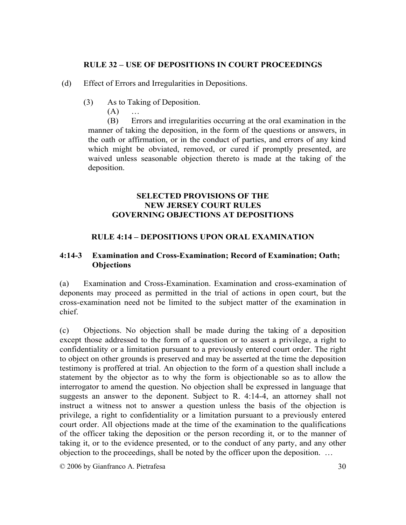## **RULE 32 – USE OF DEPOSITIONS IN COURT PROCEEDINGS**

(d) Effect of Errors and Irregularities in Depositions.

- (3) As to Taking of Deposition.
	- $(A)$

(B) Errors and irregularities occurring at the oral examination in the manner of taking the deposition, in the form of the questions or answers, in the oath or affirmation, or in the conduct of parties, and errors of any kind which might be obviated, removed, or cured if promptly presented, are waived unless seasonable objection thereto is made at the taking of the deposition.

#### **SELECTED PROVISIONS OF THE NEW JERSEY COURT RULES GOVERNING OBJECTIONS AT DEPOSITIONS**

# **RULE 4:14 – DEPOSITIONS UPON ORAL EXAMINATION**

# **4:14-3 Examination and Cross-Examination; Record of Examination; Oath; Objections**

(a) Examination and Cross-Examination. Examination and cross-examination of deponents may proceed as permitted in the trial of actions in open court, but the cross-examination need not be limited to the subject matter of the examination in chief.

(c) Objections. No objection shall be made during the taking of a deposition except those addressed to the form of a question or to assert a privilege, a right to confidentiality or a limitation pursuant to a previously entered court order. The right to object on other grounds is preserved and may be asserted at the time the deposition testimony is proffered at trial. An objection to the form of a question shall include a statement by the objector as to why the form is objectionable so as to allow the interrogator to amend the question. No objection shall be expressed in language that suggests an answer to the deponent. Subject to R. 4:14-4, an attorney shall not instruct a witness not to answer a question unless the basis of the objection is privilege, a right to confidentiality or a limitation pursuant to a previously entered court order. All objections made at the time of the examination to the qualifications of the officer taking the deposition or the person recording it, or to the manner of taking it, or to the evidence presented, or to the conduct of any party, and any other objection to the proceedings, shall be noted by the officer upon the deposition. …

© 2006 by Gianfranco A. Pietrafesa 30